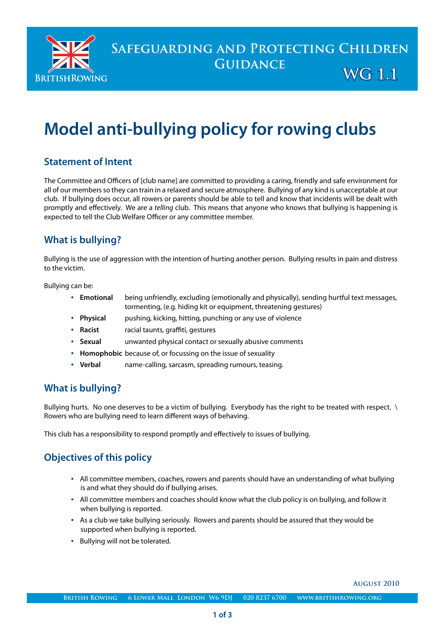

# **SAFEGUARDING AND PROTECTING CHILDREN Guidance**

 **WG 1.1**

 **August 2010** 

# **Model anti-bullying policy for rowing clubs**

### **Statement of Intent**

The Committee and Officers of [club name] are committed to providing a caring, friendly and safe environment for all of our members so they can train in a relaxed and secure atmosphere. Bullying of any kind is unacceptable at our club. If bullying does occur, all rowers or parents should be able to tell and know that incidents will be dealt with promptly and effectively. We are a *telling* club. This means that anyone who knows that bullying is happening is expected to tell the Club Welfare Officer or any committee member.

# **What is bullying?**

Bullying is the use of aggression with the intention of hurting another person. Bullying results in pain and distress to the victim.

Bullying can be:

- **Emotional** being unfriendly, excluding (emotionally and physically), sending hurtful text messages, tormenting, (e.g. hiding kit or equipment, threatening gestures)
- **Physical** pushing, kicking, hitting, punching or any use of violence
- **Racist** racial taunts, graffiti, gestures
- **Sexual** unwanted physical contact or sexually abusive comments
- **Homophobic** because of, or focussing on the issue of sexuality
- **Verbal** name-calling, sarcasm, spreading rumours, teasing.

# **What is bullying?**

Bullying hurts. No one deserves to be a victim of bullying. Everybody has the right to be treated with respect. \ Rowers who are bullying need to learn different ways of behaving.

This club has a responsibility to respond promptly and effectively to issues of bullying.

# **Objectives of this policy**

- All committee members, coaches, rowers and parents should have an understanding of what bullying is and what they should do if bullying arises.
- All committee members and coaches should know what the club policy is on bullying, and follow it when bullying is reported.
- As a club we take bullying seriously. Rowers and parents should be assured that they would be supported when bullying is reported.
- Bullying will not be tolerated.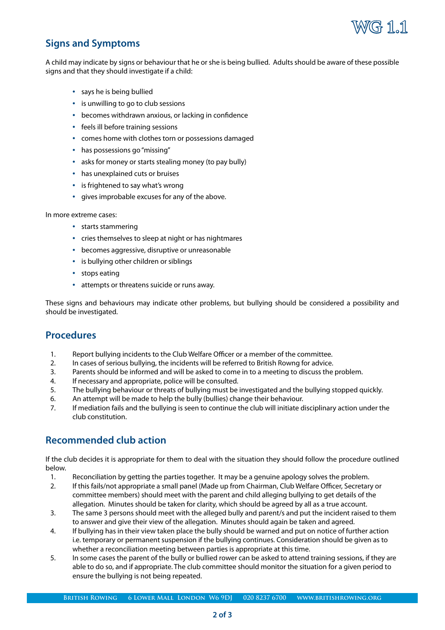

### **Signs and Symptoms**

A child may indicate by signs or behaviour that he or she is being bullied. Adults should be aware of these possible signs and that they should investigate if a child:

- says he is being bullied
- is unwilling to go to club sessions
- becomes withdrawn anxious, or lacking in confidence
- feels ill before training sessions
- comes home with clothes torn or possessions damaged
- has possessions go "missing"
- asks for money or starts stealing money (to pay bully)
- has unexplained cuts or bruises
- is frightened to say what's wrong
- gives improbable excuses for any of the above.

In more extreme cases:

- starts stammering
- cries themselves to sleep at night or has nightmares
- becomes aggressive, disruptive or unreasonable
- is bullying other children or siblings
- stops eating
- attempts or threatens suicide or runs away.

These signs and behaviours may indicate other problems, but bullying should be considered a possibility and should be investigated.

#### **Procedures**

- 1. Report bullying incidents to the Club Welfare Officer or a member of the committee.
- 2. In cases of serious bullying, the incidents will be referred to British Rowng for advice.
- 3. Parents should be informed and will be asked to come in to a meeting to discuss the problem.
- 4. If necessary and appropriate, police will be consulted.
- 5. The bullying behaviour or threats of bullying must be investigated and the bullying stopped quickly.
- 6. An attempt will be made to help the bully (bullies) change their behaviour.
- 7. If mediation fails and the bullying is seen to continue the club will initiate disciplinary action under the club constitution.

#### **Recommended club action**

If the club decides it is appropriate for them to deal with the situation they should follow the procedure outlined below.

- 1. Reconciliation by getting the parties together. It may be a genuine apology solves the problem.
- 2. If this fails/not appropriate a small panel (Made up from Chairman, Club Welfare Officer, Secretary or committee members) should meet with the parent and child alleging bullying to get details of the allegation. Minutes should be taken for clarity, which should be agreed by all as a true account.
- 3. The same 3 persons should meet with the alleged bully and parent/s and put the incident raised to them to answer and give their view of the allegation. Minutes should again be taken and agreed.
- 4. If bullying has in their view taken place the bully should be warned and put on notice of further action i.e. temporary or permanent suspension if the bullying continues. Consideration should be given as to whether a reconciliation meeting between parties is appropriate at this time.
- 5. In some cases the parent of the bully or bullied rower can be asked to attend training sessions, if they are able to do so, and if appropriate. The club committee should monitor the situation for a given period to ensure the bullying is not being repeated.